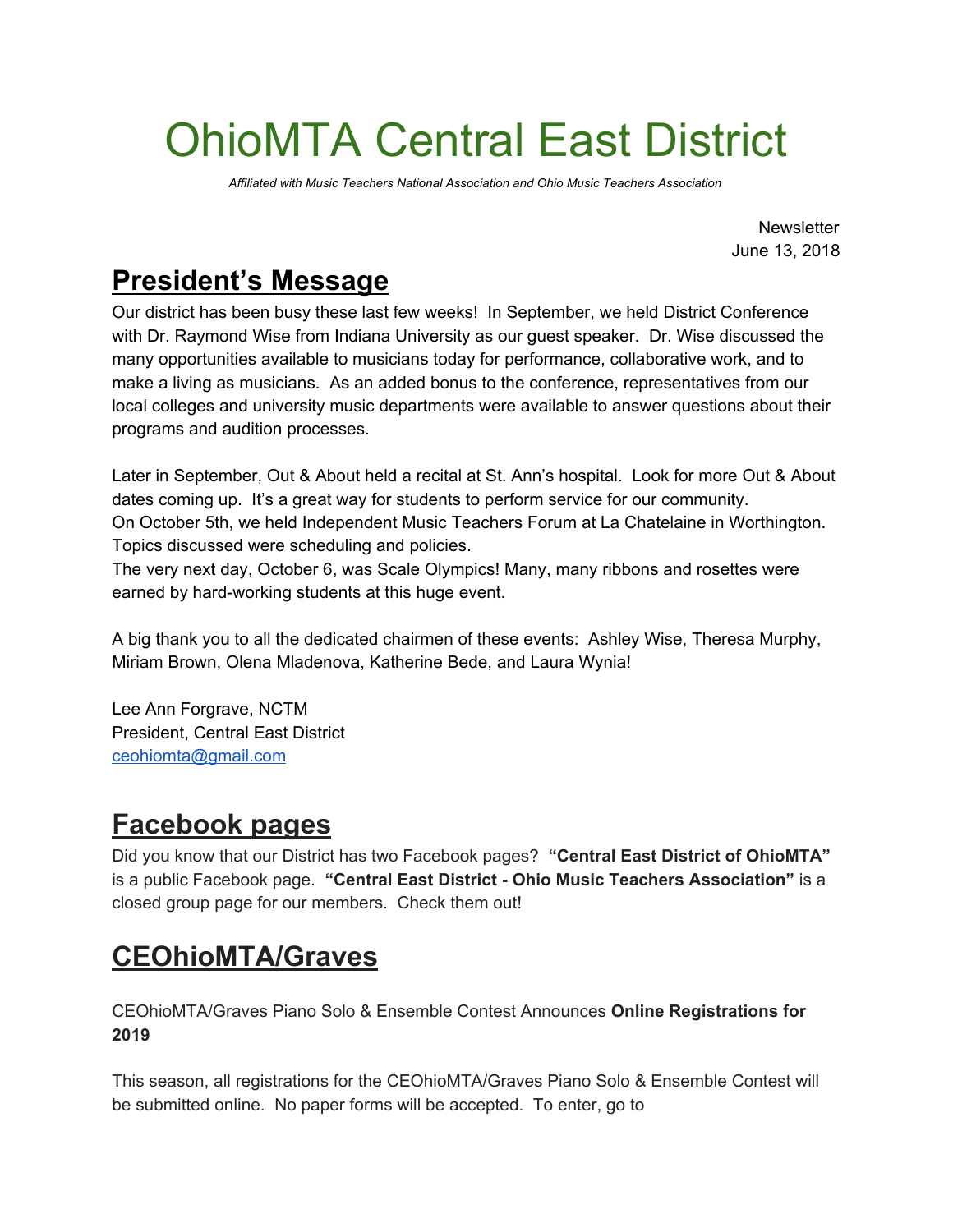# OhioMTA Central East District

*Affiliated with Music Teachers National Association and Ohio Music Teachers Association*

**Newsletter** June 13, 2018

## **President's Message**

Our district has been busy these last few weeks! In September, we held District Conference with Dr. Raymond Wise from Indiana University as our guest speaker. Dr. Wise discussed the many opportunities available to musicians today for performance, collaborative work, and to make a living as musicians. As an added bonus to the conference, representatives from our local colleges and university music departments were available to answer questions about their programs and audition processes.

Later in September, Out & About held a recital at St. Ann's hospital. Look for more Out & About dates coming up. It's a great way for students to perform service for our community. On October 5th, we held Independent Music Teachers Forum at La Chatelaine in Worthington. Topics discussed were scheduling and policies.

The very next day, October 6, was Scale Olympics! Many, many ribbons and rosettes were earned by hard-working students at this huge event.

A big thank you to all the dedicated chairmen of these events: Ashley Wise, Theresa Murphy, Miriam Brown, Olena Mladenova, Katherine Bede, and Laura Wynia!

Lee Ann Forgrave, NCTM President, Central East District [ceohiomta@gmail.com](mailto:ceohiomta@gmail.com)

## **Facebook pages**

Did you know that our District has two Facebook pages? **"Central East District of OhioMTA"** is a public Facebook page. **"Central East District - Ohio Music Teachers Association"** is a closed group page for our members. Check them out!

# **CEOhioMTA/Graves**

CEOhioMTA/Graves Piano Solo & Ensemble Contest Announces **Online Registrations for 2019**

This season, all registrations for the CEOhioMTA/Graves Piano Solo & Ensemble Contest will be submitted online. No paper forms will be accepted. To enter, go to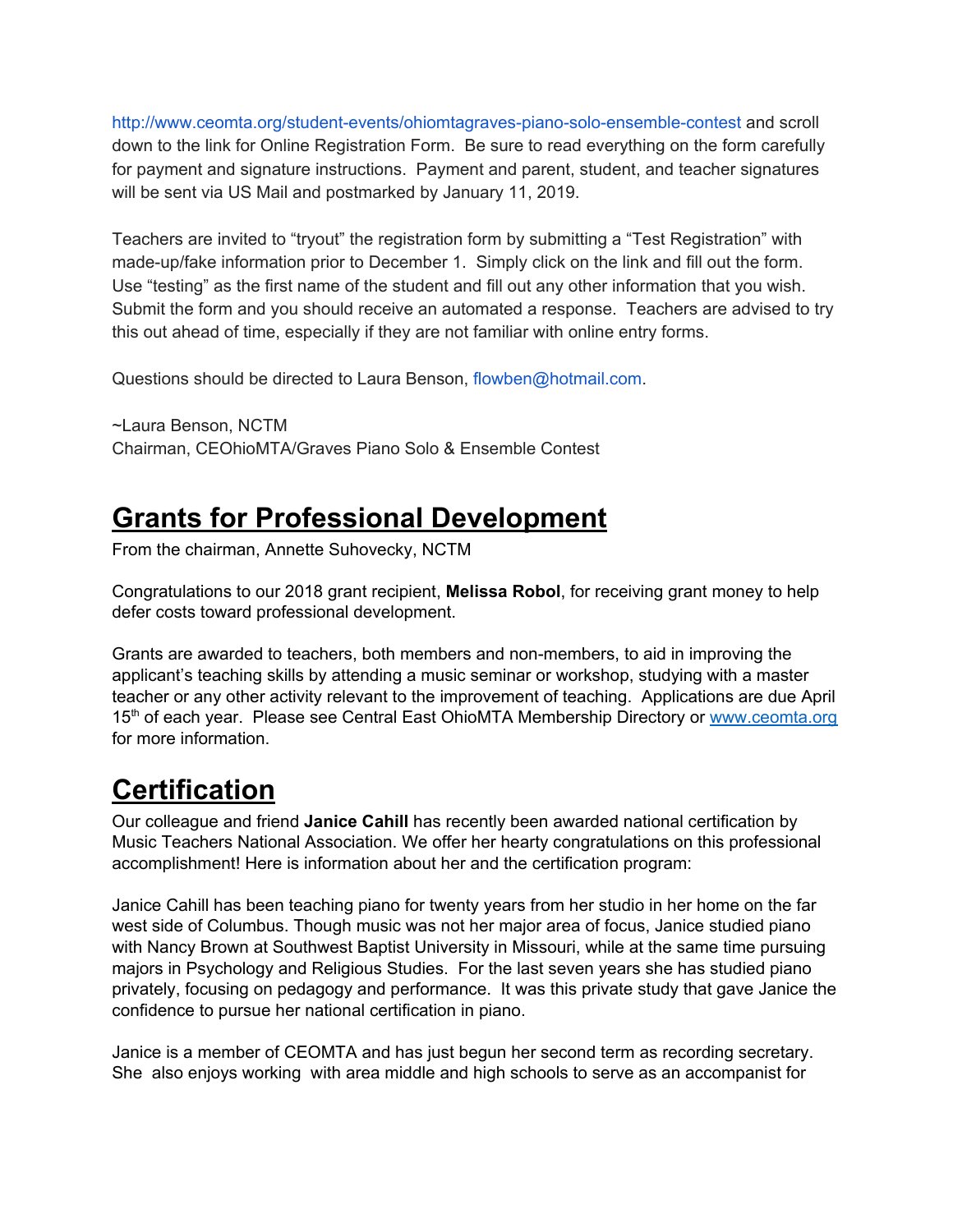<http://www.ceomta.org/student-events/ohiomtagraves-piano-solo-ensemble-contest> and scroll down to the link for Online Registration Form. Be sure to read everything on the form carefully for payment and signature instructions. Payment and parent, student, and teacher signatures will be sent via US Mail and postmarked by January 11, 2019.

Teachers are invited to "tryout" the registration form by submitting a "Test Registration" with made-up/fake information prior to December 1. Simply click on the link and fill out the form. Use "testing" as the first name of the student and fill out any other information that you wish. Submit the form and you should receive an automated a response. Teachers are advised to try this out ahead of time, especially if they are not familiar with online entry forms.

Questions should be directed to Laura Benson, flowben@hotmail.com.

~Laura Benson, NCTM Chairman, CEOhioMTA/Graves Piano Solo & Ensemble Contest

### **Grants for Professional Development**

From the chairman, Annette Suhovecky, NCTM

Congratulations to our 2018 grant recipient, **Melissa Robol**, for receiving grant money to help defer costs toward professional development.

Grants are awarded to teachers, both members and non-members, to aid in improving the applicant's teaching skills by attending a music seminar or workshop, studying with a master teacher or any other activity relevant to the improvement of teaching. Applications are due April 15<sup>th</sup> of each year. Please see Central East OhioMTA Membership Directory or [www.ceomta.org](http://www.ceomta.org/) for more information.

# **Certification**

Our colleague and friend **Janice Cahill** has recently been awarded national certification by Music Teachers National Association. We offer her hearty congratulations on this professional accomplishment! Here is information about her and the certification program:

Janice Cahill has been teaching piano for twenty years from her studio in her home on the far west side of Columbus. Though music was not her major area of focus, Janice studied piano with Nancy Brown at Southwest Baptist University in Missouri, while at the same time pursuing majors in Psychology and Religious Studies. For the last seven years she has studied piano privately, focusing on pedagogy and performance. It was this private study that gave Janice the confidence to pursue her national certification in piano.

Janice is a member of CEOMTA and has just begun her second term as recording secretary. She also enjoys working with area middle and high schools to serve as an accompanist for